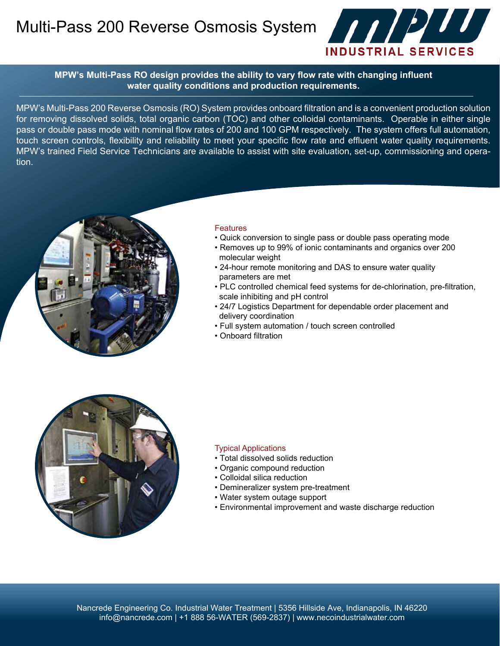Multi-Pass 200 Reverse Osmosis System **And Alternative System** 



**MPW's Multi-Pass RO design provides the ability to vary flow rate with changing influent water quality conditions and production requirements.**

MPW's Multi-Pass 200 Reverse Osmosis (RO) System provides onboard filtration and is a convenient production solution for removing dissolved solids, total organic carbon (TOC) and other colloidal contaminants. Operable in either single pass or double pass mode with nominal flow rates of 200 and 100 GPM respectively. The system offers full automation, touch screen controls, flexibility and reliability to meet your specific flow rate and effluent water quality requirements. MPW's trained Field Service Technicians are available to assist with site evaluation, set-up, commissioning and operation.



### **Features**

- Quick conversion to single pass or double pass operating mode
- Removes up to 99% of ionic contaminants and organics over 200 molecular weight
- 24-hour remote monitoring and DAS to ensure water quality parameters are met
- PLC controlled chemical feed systems for de-chlorination, pre-filtration, scale inhibiting and pH control
- 24/7 Logistics Department for dependable order placement and delivery coordination
- Full system automation / touch screen controlled
- Onboard filtration



#### Typical Applications

- Total dissolved solids reduction
- Organic compound reduction
- Colloidal silica reduction
- Demineralizer system pre-treatment
- Water system outage support
- Environmental improvement and waste discharge reduction